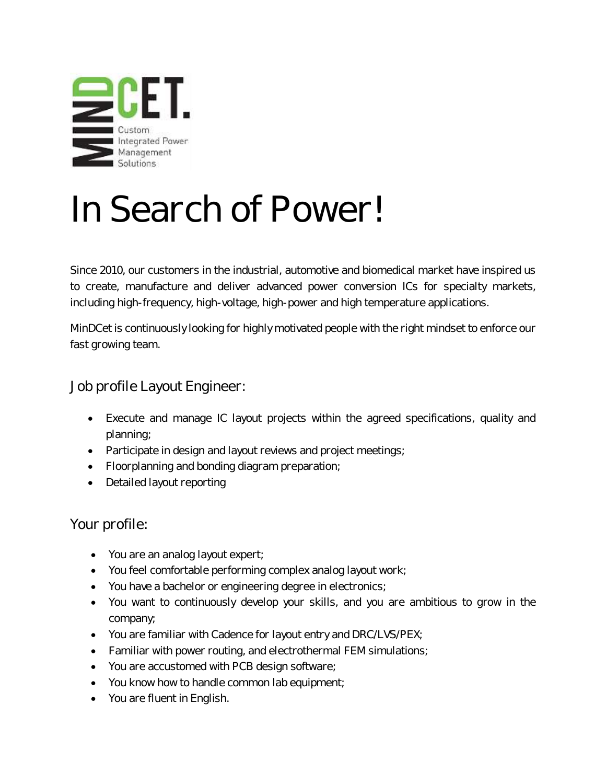

# In Search of Power!

Since 2010, our customers in the industrial, automotive and biomedical market have inspired us to create, manufacture and deliver advanced power conversion ICs for specialty markets, including high-frequency, high-voltage, high-power and high temperature applications.

MinDCet is continuously looking for highly motivated people with the right mindset to enforce our fast growing team.

### Job profile Layout Engineer:

- Execute and manage IC layout projects within the agreed specifications, quality and planning;
- Participate in design and layout reviews and project meetings;
- Floorplanning and bonding diagram preparation;
- Detailed layout reporting

#### Your profile:

- You are an analog layout expert;
- You feel comfortable performing complex analog layout work;
- You have a bachelor or engineering degree in electronics;
- You want to continuously develop your skills, and you are ambitious to grow in the company;
- You are familiar with Cadence for layout entry and DRC/LVS/PEX;
- Familiar with power routing, and electrothermal FEM simulations;
- You are accustomed with PCB design software;
- You know how to handle common lab equipment;
- You are fluent in English.